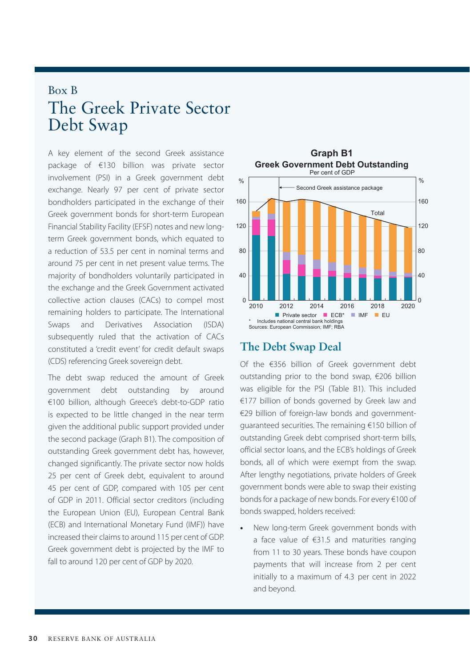# Box B The Greek Private Sector Debt Swap

A key element of the second Greek assistance package of €130 billion was private sector involvement (PSI) in a Greek government debt exchange. Nearly 97 per cent of private sector bondholders participated in the exchange of their Greek government bonds for short-term European Financial Stability Facility (EFSF) notes and new longterm Greek government bonds, which equated to a reduction of 53.5 per cent in nominal terms and around 75 per cent in net present value terms. The majority of bondholders voluntarily participated in the exchange and the Greek Government activated collective action clauses (CACs) to compel most remaining holders to participate. The International Swaps and Derivatives Association (ISDA) subsequently ruled that the activation of CACs constituted a 'credit event' for credit default swaps (CDS) referencing Greek sovereign debt.

The debt swap reduced the amount of Greek government debt outstanding by around €100 billion, although Greece's debt-to-GDP ratio is expected to be little changed in the near term given the additional public support provided under the second package (Graph B1). The composition of outstanding Greek government debt has, however, changed significantly. The private sector now holds 25 per cent of Greek debt, equivalent to around 45 per cent of GDP, compared with 105 per cent of GDP in 2011. Official sector creditors (including the European Union (EU), European Central Bank (ECB) and International Monetary Fund (IMF)) have increased their claims to around 115 per cent of GDP. Greek government debt is projected by the IMF to fall to around 120 per cent of GDP by 2020.



## **The Debt Swap Deal**

Of the €356 billion of Greek government debt outstanding prior to the bond swap, €206 billion was eligible for the PSI (Table B1). This included €177 billion of bonds governed by Greek law and €29 billion of foreign-law bonds and governmentguaranteed securities. The remaining €150 billion of outstanding Greek debt comprised short-term bills, official sector loans, and the ECB's holdings of Greek bonds, all of which were exempt from the swap. After lengthy negotiations, private holders of Greek government bonds were able to swap their existing bonds for a package of new bonds. For every €100 of bonds swapped, holders received:

**•** New long-term Greek government bonds with a face value of €31.5 and maturities ranging from 11 to 30 years. These bonds have coupon payments that will increase from 2 per cent initially to a maximum of 4.3 per cent in 2022 and beyond.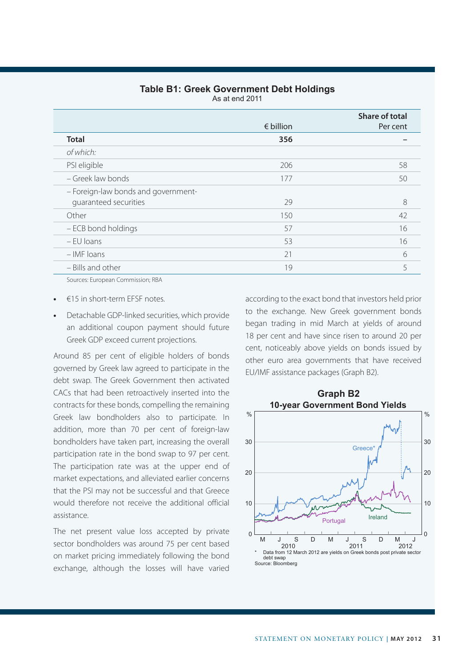#### **Table B1: Greek Government Debt Holdings**

As at end 2011

|                                     | $\epsilon$ billion | Share of total<br>Per cent |
|-------------------------------------|--------------------|----------------------------|
| <b>Total</b>                        | 356                |                            |
| of which:                           |                    |                            |
| PSI eligible                        | 206                | 58                         |
| - Greek law bonds                   | 177                | 50                         |
| - Foreign-law bonds and government- |                    |                            |
| quaranteed securities               | 29                 | 8                          |
| Other                               | 150                | 42                         |
| - ECB bond holdings                 | 57                 | 16                         |
| $-$ FU loans                        | 53                 | 16                         |
| $-$ IMF loans                       | 21                 | 6                          |
| - Bills and other                   | 19                 | 5                          |

Sources: European Commission; RBA

- **•** €15 in short-term EFSF notes.
- **•** Detachable GDP-linked securities, which provide an additional coupon payment should future Greek GDP exceed current projections.

Around 85 per cent of eligible holders of bonds governed by Greek law agreed to participate in the debt swap. The Greek Government then activated CACs that had been retroactively inserted into the contracts for these bonds, compelling the remaining Greek law bondholders also to participate. In addition, more than 70 per cent of foreign-law bondholders have taken part, increasing the overall participation rate in the bond swap to 97 per cent. The participation rate was at the upper end of market expectations, and alleviated earlier concerns that the PSI may not be successful and that Greece would therefore not receive the additional official assistance.

The net present value loss accepted by private sector bondholders was around 75 per cent based on market pricing immediately following the bond exchange, although the losses will have varied

according to the exact bond that investors held prior to the exchange. New Greek government bonds began trading in mid March at yields of around 18 per cent and have since risen to around 20 per cent, noticeably above yields on bonds issued by other euro area governments that have received EU/IMF assistance packages (Graph B2).